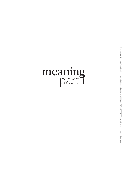# [meaning](#page--1-0) part i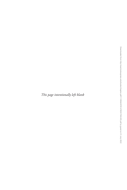*This page intentionally left blank*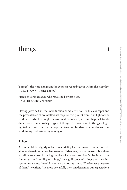## [things](#page--1-0) 1

 "Things"—the word designates the concrete yet ambiguous within the everyday. -BILL BROWN, "Thing Theory"

Man is the only creature who refuses to be what he is. —albert camus, *The Rebel*

Having provided in the introduction some attention to key concepts and the presentation of an intellectual map for this project framed in light of the work with which it might be assumed connected, in this chapter I tackle dimensions of materiality—types of things. This attention to things is highlighted here and discussed as representing two fundamental mechanisms at work in my understanding of religion.

### Things

As Daniel Miller rightly reflects, materiality figures into our systems of religion as a benefit or a problem to solve. Either way, matter matters. But there is a difference worth stating for the sake of context. For Miller in what he frames as the "humility of things," the significance of things and their impact on us is most forceful when we do not see them. "The less we are aware of them," he writes, "the more powerfully they can determine our expectations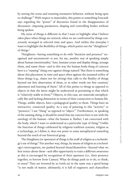by setting the scene and ensuring normative behavior, without being open to challenge."[1](#page--1-0) With respect to materiality, this points to something Foucault says regarding the "power" of discourses found in the disappearance of discussion—imposing parameters, shaping and controlling bodies without being spoken.

My sense of things is different in that I want to highlight what I believe takes place when things are noticed, when we are confronted by things consciously arranged in selected time and space. And within this interplay I want to highlight the flexibility of things, which points out the "thingliness" of things.[2](#page--1-0)

Thingliness—having something to do with "duration and presence" recognized and encountered—is not, for me, another way of speaking simply about human intentionality. $3$  Sure, humans create and display things, arrange them, and name them—and in this way the human body-thing of concern here is a "naming" thing over against things named.<sup>[4](#page--1-0)</sup> But there is something about this placement in time and space often against the assumed utility of these things (e.g., chairs not for sitting) that calls to the fluidity of things beyond our first observation of them, or in other words our first creation/ placement and learning of them.<sup>[5](#page--1-0)</sup> All of this points to things as opposed to objects in that the latter might be understood as pertaining to that which is "relatively stable in form."[6](#page--1-0) Objects, in this case, are materials metaphysically flat and lacking dimension in terms of their connection to human life. Things, unlike objects, have a pedagogical quality to them. Things have an interactive, connected quality. As a way of pointing to this "activity" or "presence," I use "thing" as opposed to "object."<sup>[7](#page--1-0)</sup> Furthermore, in speaking of the naming-thing, it should be noted that my concern here is not with the ontology of the human—what the human is. Rather, I am concerned with the body, which I want to understand as a particular type of thing.<sup>8</sup> Unlike the function of things celebrated by religious tradition systems, religion as a technology, as I define it, does not point to some metaphysical some*thing* beyond the reach of our historical grasp.

The thingliness (or openness) of things is the stuff of religion as a technology's use of things[.9](#page--1-0) Put another way, things, by means of religion as a technology's interrogation, are pushed beyond them/themselves—beyond what we first notice about them—and offer opportunity to train a different awareness as this is encouraged by recognition of their openness (i.e., their presence together, to borrow from Camus). What do things push us to do, to think, to sense? They are invested by us (with us) in the same way a speed bump "is not made of matter, ultimately; it is full of engineers and chancellors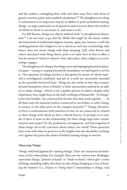and law makers, comingling their wills and their story lines with those of gravel, concrete, paint, and standard calculations.["10](#page--1-0) The thingliness of a thing is constituted in an important way by its ability to push on bodied namingthings—to urge a particular set of questions and concerns about the world as we think we know it, encounter it, and want it to be.

For Bill Brown, things are objects imbued with "a metaphysical dimension."<sup>11</sup> I do not want to go that far. While this might be the intent within the framework of traditional religious systems, again, my concern is with the working premise that religion is not a system as such but a technology and, hence, does not invest things with deep meaning. Still, what Brown and others associated with thing theory posit is of value here in that it offers a lens by means of which to observe what takes place when religion as a technology engages.

The thingliness of a thing is the thing active and impinging beyond its physical space—oozing or seeping beyond the boundaries we had hoped to set for it. This openness of things involves a disruption by means of which material is reconfigured, combined, and put to a work not necessarily intended in the material's borrowed form. Things are also sticky in that they connect beyond themselves; there is fluidity to their interactions marked by an ability to shape change—which is not a quality present in objects despite what importance they might have in the daily workings of human life. "So things," writes Ian Hodder, "are connected by the fact that they work together. . . . In all these ways the material world is connected to our bodies, to other things, to society, to the other parts in the complex networks."[12](#page--1-0) Things, therefore: (1) force a confrontation with ourselves in that we are connected to, related to these things with which we have a shared history; (2) prompt us to wonder if there is more to this relationship: Do these things urge other considerations and scopes? Do the production, arrangement, and interrogation of these things tell us all I can know about others, the world? These questions have to do with what we perceive as the fragility but also durability of things over against the particular limits of bodied naming-things in motion.

#### Observing Things

Things and/with/against/for naming-things: There are numerous formulations of this relationship. For example, there are the various ways Heidegger represents things: "present-at-hand" or "ready-to-hand," which give a sense of things, including utility. But there are also things thinging as a way of framing the human's (i.e., Dasein or "being there") relationship to things. And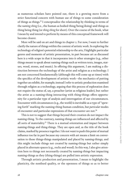as numerous scholars have pointed out, there is a growing move from a strict functional concern with human use of things to some consideration of things as things.<sup>13</sup> I conceptualize the relationship by thinking in terms of the *naming-thing* (i.e., the human as bodied thing/being/doing) and things as thing being thing (or *thing-thing* for short). Over the course of the book, what I mean by and intend to perform by means of this conceptual framework will become clearer.

More will be said on art and things in chapter 2. For now, I want to further clarify the nature of things within the context of artistic work. In exploring the technology of religion's potential relationship to the arts, I highlight particular genres and moments of artistic presentation, in part because art as discussed here is a wide scope in that it incorporates into it other strategies (e.g., other things meant to speak about naming-things such as written texts, images, statues, wood, stones, and music). In offering this argument, I am making a distinction between the technology of the artist and religion as a technology. I am not concerned fundamentally (although this will come up at times) with the specifics of the development of artistic work—the mechanics of putting together an exhibit, for example; instead I refer to artistic production examined through religion as a technology, arguing that this process of exploration does not require the status of, say, a preacher (artist as religious leader), but rather the artist as a naming-thing interacting with thing-things offers opportunity for a particular type of analysis and interrogation of our circumstances. Encounter with circumstances (e.g., the world) is inevitable as a type of "spewing forth" marking the naming-thing-human condition, but *particular* modes of encounter and particular expressions of that encounter are not.<sup>[14](#page--1-0)</sup>

This is not to suggest that things beyond their creation do not impact the naming-thing. To the contrary, naming-things are influenced and affected by all sorts of materiality.<sup>15</sup> There is a mutual orientation and impact between naming-things and thing-things. They are open and, as the title of the book claims, marked by presence together. I do not want to push this point of mutual influence too far in part because my concern with art means a limit on conversation to those things-things manipulated and placed by naming-things; and this might include things not created by naming-things but rather simply placed in alternate spaces (e.g., rocks and wood). In this way, I also give attention here to things not necessarily created by naming-things but impacting naming-things as they (thing-things) are pulled into artistic expression.

Through artistic production and presentation, I mean to highlight the plasticity, the nonfixed quality, or the openness of things so as to better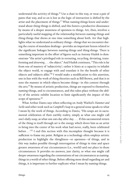understand the activity of things.<sup>[16](#page--1-0)</sup> Use a chair in this way, or wear a pair of pants that way, and so on is lost as the logic of interaction is shifted by the artist and the placement of things.<sup>17</sup> What naming-things know and understand about thing-things is shifted, and this fosters a productive dissonance by means of a deeper awareness of openness to things. Art, then, involves a particularly useful mapping of the relationship between naming-things and thing-things that shows at one time something about both. Art that highlights what we understand as ordinary things—things that we encounter during the course of mundane dealings—provides an important lesson related to the significant linkages between naming-things and thing-things. There is something important in the effort of figures such as Antony Hudek to demonstrate "the artist's privileged role in rerouting, recycling, deviating, transforming and *deturning* . . . the object." And Hudek continues, "This role is far from one of mastery of 'subjectivity'; rather it hints at a capacity to inhabit the object world, to engage with and translate it for the benefit of other objects and subjects alike."[18](#page--1-0) I would make a modification to this assertion, one in line with the work of thing theorists such as Bill Brown, and that is to note the manner in which objects become things—in this context through the arts[.19](#page--1-0) By means of artistic production, things are exposed to themselves, naming-things, and to circumstances, and this takes place without the ability of the artistic exhibit location to limit significantly the impact of this scope of openness.<sup>20</sup>

What Arthur Danto says when reflecting on Andy Warhol's *Hammer and Sickle* and other work such as *Campbell's Soup* in a general sense speaks to what I mean by the work of things. According to Danto, "His soups are in sacramental celebration of their earthly reality, simply as what one might call one's daily soup, as what one eats day after day. . . . If this sacramental return of the thing to itself through art is the energy which drove him as an artist to bring into the center of his work what had never, really, been celebrated before  $\dots$ <sup>[21](#page--1-0)</sup> I end this section with this incomplete thought because it is sufficient to frame my point. Religion as a technology often employs artistic production to highlight the thingliness—or openness—of things, and in this way makes possible through interrogation of things in time and space greater awareness of our circumstances (i.e., world) and our place in those circumstances. It provides no answers, just clarity, or what one might call deeper awareness regarding the connotations of our circumstances as namingthings in a world of other things. Before offering more detail regarding art and things, it is important to further explicate what I mean by naming-things.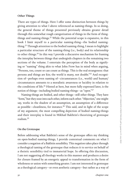#### Other Things

There are types of things. Here I offer some distinction between things by giving attention to what I above referenced as naming-things. In so doing, the general theme of things presented previously obtains greater detail through this somewhat rough categorization of things in the form of thing-things and naming-things.<sup>[22](#page--1-0)</sup> While the potential scope is expansive, in this book I limit myself to a particular naming-thing—the bodied namingthing.<sup>23</sup> Through attention to the bodied naming-thing, I mean to highlight a particular structure of the naming-thing (i.e., body) and its relationship to other things.<sup>[24](#page--1-0)</sup> In this way I provide a discursive mechanism for framing the interplay between things that undergirds chapters in the remaining two sections of the volume. I entertain the perception of the body as signifying or "naming" thing akin to what John Frow has in mind when arguing, "Persons, too, count or can count as things. This is the real strangeness: that persons and things are kin; the world is many, not double."<sup>25</sup> And recognition of—perhaps even naming of—circumstances (i.e., world) and human/ circumstances amounts to a moralistic awareness or lucidity in relation to the conditions of life.<sup>26</sup> Hinted at here, but more fully expressed later, is the notion of things—including bodied naming-things—as "open."[27](#page--1-0)

Naming-things are bodied, and other things—still other things. They have "form," but they ooze into each other, inform each other. "Abjection," one might say, works in the shadow of an assumption, an assumption of a difference as possible—cleanliness, for instance[.28](#page--1-0) This said, and in light of the scope of my argument, the most compelling depiction of bodied naming-things and their interplay is found in Mikhail Bakhtin's theorizing of grotesque realism[.29](#page--1-0)

#### On the Grotesque

Before addressing what Bakhtin's sense of the grotesque offers my thinking on open-bodied naming-things, I provide contextual comments on what I consider a negation of a Bakhtin sensibility. This negation takes place through a theological taming of the grotesque that reduces it to service on behalf of a theistic sensibility tied to immaterial hope. In offering this discussion, I am not suggesting all theology works in this manner and produces a desire for closure framed by an energetic appeal to transformation in the form of wholeness or union with something greater. I am not interested in grotesque as a theological category—or even aesthetic category—but rather as a way of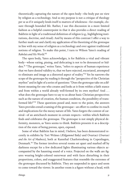theoretically capturing the nature of the open body—the body put on view by religion as a technology. And so my purpose is not a critique of theology per se as if it uniquely lends itself to matters of wholeness—for example, closure through bounded life. Rather, I use this discussion in a more limited fashion as a helpful counterpoint in that it also provides a direct reading of Bakhtin in light of a traditional definition of religion (e.g., highlighting institutions, doctrine, and ritual). And by means of this contrast I offer a way to further mark out and clarify my application of his theorizing of the grotesque in line with my sense of religion as a technology and over against traditional notions of religion. To make this point, I turn to Wilson Yates's reading of *Rabelais and His World*. [30](#page--1-0)

The open body, Yates acknowledges, is for Bakhtin a vital and vibrant body—whose eating, pissing, and defecating is not to be denounced or hidden.<sup>31</sup> "The grotesque," writes Yates, "refers to aspects of human experience that we have denied validity to, that we have rejected, excoriated, attempted to eliminate and image as a distorted aspect of reality.["32](#page--1-0) Yet he narrows the scope of the grotesque by reading it through the "perspective of the Christian mythos" and in light of a series of questions: "Does the grotesque take on a different meaning for one who creates and looks at it from within a faith stance and from within a world already well-formed by its own mythos? And . . . what does the grotesque have to say to us about basic Christian perspectives such as the nature of creation, the human condition, the possibility of trans-formed life?"<sup>[33](#page--1-0)</sup> These questions posed and, more to the point, the answers Yates provides entail a taming of the grotesque—an effort to confine its reach and implications for the messy nature of life. Yates forgets the context of carnival—of an antichurch moment in certain respects—within which Bakhtin finds and celebrates the grotesque. The grotesque is not simply physical deformity, monsters, as Yates seems to think. Bakhtin presents it as a description of the state of being porous, open, exposed.

Some of what Bakhtin has in mind, I believe, has been demonstrated recently in exhibits by Tori Wrånes (*Ældgammel Baby*) and Ovartaci (*Ovartaci and the Art of Madness*), both at Kunsthal Charlottenborg in Copenhagen, Denmark.<sup>34</sup> The former involves several rooms set apart and marked off by darkness except for a few dedicated lights illuminating various objects accompanied by the haunting sound of a voice. Projected on the walls are figures wearing bright-colored outerwear and with faces disturbing in their proportions, colors, and exaggerated features that resemble the extremes of the grotesque discussed by Bakhtin. They are suspended in space and seem to come toward the viewer. In another room is a figure without a head, with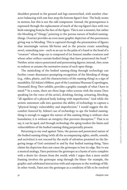shoulders penned to the ground and legs outstretched, with another character balancing with one foot atop the bottom figure's foot. The body seems in motion, but this is not the odd component. Instead, the grotesqueness is expressed through the replacement of much of the top figure's face with two birds emerging from/as the face of the figure. This is not a monster, but rather the blending of "things," pointing to the porous nature of bodied namingthings. Ovartaci provides an even more graphic depiction of this porousness giving way to blending. This is captured through the presentation of figures that intermingle various life-forms and in the process create something novel, something new—such as an eye in the palm of a hand or the head of a "creature" whose large eye is composed of (or houses) smaller creatures and whose other orifices contain bodied things that have penetrated the head.<sup>35</sup> Neither artist rejects penetrated and penetrating figures; instead, they seem to endorse or assume the normative status of such open things.

The mimicking of the bodied naming-thing through technology can further create dissonance-prompting recognition of the blending of things (e.g., video, plastic, and the characteristics of the naming-thing) as a sign of mutability. Ed Atkins's *Ribbons*, part of the Louisiana Museum (Copenhagen, Denmark) *Being There* exhibit, provides a graphic example of what I have in mind.<sup>36</sup> In a room, there are three large video screens with the avatar Dave speaking (in the voice of the artist), drinking, farting, urinating, bleeding, "all signifiers of a physical body leaking with imperfection." And while the artistic statement calls into question the ability of technology to capture a "physical being's vulnerability and imperfection," I would suggest the discomfort fostered by Atkins's use of technology to ape the bodied namingthing is enough to suggest the nature of this naming-thing is without clear boundaries; it is without an integrity that prevents disruption.<sup>37</sup> That is to say, it can be aped, and through technology the aping renders the limits and vulnerabilities of the bodied naming-thing perpetually present.

Returning to my read against Yates, the porous and penetrated nature of the bodied naming-thing (with all the accompanying sights, smells, sounds, and activities) is not rescued by the myth of salvation premised on the lingering image of God contained in and by that bodied naming-thing. Yates claims his depiction does not cause the grotesque to lose its edge. But to use a musical analogy, Yates positions the grotesque as a hymn of sorts complete with a desire for closure from the world, while I argue that a more useful framing involves the grotesque sung through the blues—for example, the graphic and celebrated interaction with and exposure to the workings of life. In other words, Yates sees the grotesque as a condition of life to be resolved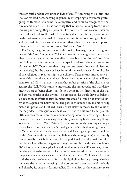through faith and the workings of divine forces.<sup>[38](#page--1-0)</sup> According to Bakhtin, and I follow his lead here, nothing is gained by attempting to overcome grotesquery; to think so is to paint it as a negative and to fail to recognize the nature of embodied life. This is not to say that values are missing from human thinking and doing; they are present. However, there is no reason to assume such values bend to the will of Christian doctrine. Rather, these values might just signify doctrinal-theological assumptions concerning embodied and material life. They are bluesy values that relate porous thing to porous thing, rather than porous body to its "fix" called "god."

For Yates, the grotesque speaks a theological language framed by a grammar of "sin" and "judgment."[39](#page--1-0) Hence, grotesquery might on the surface disturb or create a certain type of dissonance, but according to Yates, "the horrifying character they take can itself speak, both to and out of the context of the church.["40](#page--1-0) Yates notes that the grotesque upends "our world view and moral codes," but he does not have in mind the worldview and moral codes of the religious in relationship to the church. Yates means unproductive nonfaithful moral codes and worldviews—codes or values that will not bend to staid Christian doctrine and that refuse priority of the church over against the "folk."<sup>41</sup> He wants to understand the moral codes and worldview under threat as being those that do not point in the direction of the will and eternal truths of the divine. The grotesque, he would have us believe, is a rejection of efforts to turn humans into gods.<sup>42</sup> I would not assert divinity as the agenda for Bakhtin; no, the goal is to render humans more fully material—porous and unfixed. This is what Bakhtin means by the value of the degraded. Grotesque realism is content with this world and projects little concern for unseen realms populated by more perfect beings. This is because it refuses to see oozing, defecating, urinating bodied naming-things as a problem to solve. With Yates's Christianization of the grotesque a wager is established: one can have one's theology or one's bodied naming-thing.

Yates fails to note that the activities—the defecating and pissing in public— Bakhtin's sense of the grotesque highlights (without judgment) were roundly condemned by the Christian church as oppositional to its theological-ethical sensibility. He believes imagery of the grotesque "in the drama of religious life" takes us "out of everyday life and provides us with a different way of seeing the center—the center in its demonic manifestation and the center as the place alone where we can know the grace of God.["43](#page--1-0) However, it is the stuff, the activity of everyday life, that is highlighted by the grotesque in that these are the activities pointing to the porous and open nature of the body and thereby its capacity for mutuality. Christianity, to the contrary, seeks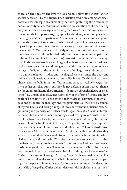to seal off the body for the love of God and only allow its penetration (on special occasions) by the divine. The Christian tradition, among others, is notorious for its suspicion concerning the body—preferring the clean soul to bodies so easily soiled. Mindful of Bakhtin's presentation of the defecating body, what Coco Fusco says concerning the "West" (i.e., the West as a posture or mindset as opposed to geographic location) in general is applicable to the religious "West" in particular: "Excrement derives its subversive power within the history of Western art as the least abstractable substance in a society with a prevailing modernist aesthetic that privileges transcendence over the material.["44](#page--1-0) Yates truncates the body whose openness is addressed, and to some extent ended, through relationship with God: communion, pain, and suffering (as exemplified by the Cross) resolved through hope and redemption. In this sense theodicy, sacrology, and eschatology are intertwined. And in this theological framework, religious tradition and practice are in fact a betrayal of religion to the extent it turns a technology into a substance.

So much religious studies and theological work assumes the body and claims a paradigmatic attachment to embodied bodies. Yet this is visual, metaphoric, and symbolic in nature. Yes, in some cases it is acknowledged that these bodies eat, they cum—but they do not defecate or piss without shame. To the extent traditions like Christianity dominant through a figure of excellence (i.e., Christ) that evacuates waste only in the form of ethical sin, how could it be otherwise? To the extent body waste is "eliminated" from discussions of bodies in theology and religious studies, they are discourses of mythic bodies addressing a range of ideas but without sufficient material grounding and premised on a rather sterile logic—an idyllic Christian formulation of life and embodiment honoring a shadowy figure of Christ. Followers of the figure expel waste, but their Christ does not—although he eats and drinks. He is the fulfillment of the law, as they note, but not with respect to its acknowledgment of human waste and other fluids.<sup>45</sup> This has had conveniences for a Christian sense of bodies: "And that he died for all, that they which live should not henceforth live unto themselves, but unto him which died for them, and rose again. Wherefore henceforth know we no man after the flesh: yea, though we have known Christ after the flesh, yet now henceforth know ye him no more. Therefore, if any man be in Christ, he is a new creature: old things are passed away; behold all things are become new" (2 Corinthians 5:15–17). Through Bakhtin, *imago Dei* is exposed as a lie. The human body, unlike the exemplar Christ, is known to be porous—with openings that expose it. Human waste, for instance, announces the deception of the life of *imago Dei*. Christ did not defecate, although those in his line of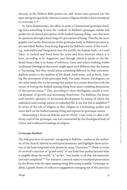descent, as the Hebrew Bible points out, did. Artists have pointed out this open and grotesque body whereas so many religious thinkers have attempted to overcome it.<sup>46</sup>

As Yates demonstrates, the effort to posit a Christianized grotesque theology loses something. It loses the "realism" in Bakhtin's grotesque realism and pushes for an altered perception of the bodied naming-thing—one that loses its openness through a fixed *imago Dei* perception of being. Thereby the more graphic and earthy dimensions of this grotesque body, as Bakhtin presents it, are sanctified. Rather than being degraded (in Bakhtin's sense of the word e.g., materiality and integration into the world), the human body—as I read Yates—is exulted and freed from the urine and feces between which it is born, according to St. Augustine, and through which it speaks to the lifedeath binary that is its frame of reference. Yates and others working within traditional theological discourses might agree with Bakhtin that the human is "becoming," but they would mean something different by that statement. Bakhtin points to the dualism of life-death, food-waste, and so forth, framing the movement of the grotesque body. For some theistic theologians, on the other hand, this is a becoming that pushes in a cosmic direction with the intent of freeing the bodied naming-thing from more troubling dimensions of that porous status.<sup>47</sup> This, according to these theologians, entails a vertical dynamic of growth and increasing closed-ness. For Bakhtin, the better read involves openness to horizontal development by means of which the embodied (and oozing) nature of embodied life is not lost but is amplified.<sup>48</sup> In terms of the role of religion in this: religion as a technology probes and turns back on the bodied naming-thing and exposes its grotesque nature.

Maintaining a focus on *Rabelais and His World*, I now want to offer a different read of the grotesque, one less constrained by the theologized body of Christ and traditional framings of religion.

#### Grotesque Realism

The folk practices of carnival—intriguing to Bakhtin—undercut the authority of the church, belittle its awful proclamations, and highlight those activities of the body long held with distain by many Christians.<sup>49</sup> Think in terms of carnival's rejection of "grand unity" of any kind that pushes beyond what is tangible about the world: "it," in fact, "was hostile to all that was immortalized and completed."<sup>50</sup> For instance, carnival replaces ritualized penetration by the divine with the open naming-thing defecating in public. Grotesque realism, a grand theory of collective engagement emerging out of the practices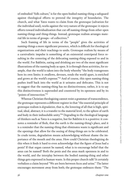of embodied "folk culture," is for the open-bodied naming-thing a safeguard against theological efforts to pretend the integrity of boundaries. The church, and what Yates wants to claim from the grotesque (salvation for the individual soul), works against the very nature of the grotesque: it rejects efforts toward individualization that cut off naming-things from other open naming-things and thing-things. Instead, grotesque realism arranges material life in terms of groups-of collectives.<sup>51</sup>

Such framing of life in terms of the "people" gives the activities of naming-things a more significant presence, which is difficult for theological organizations and their teachings to undo. Grotesque realism by means of a carnivalistic impulse is something of an existential centripetal force resulting in the centering of the defecating naming-thing exposed to and in the world. For Bakhtin, eating and drinking are two of the most significant illustrations of the naming body as open. It is through these activities, for example, that the world is taken into the body whereby "the body transgresses here its own limits: it swallows, devours, rends the world apart, is enriched and grows at the world's expense.["52](#page--1-0) And of course, this open naming-thing pushes itself back into the world as it urinates and defecates. This is not to suggest that the naming-thing has no distinctiveness; rather, it is to say this distinctiveness is superseded and countered by its openness and by its "points of intersection.["53](#page--1-0)

Whereas Christian theologizing cannot resist a grammar of transcendence, the grotesque represents a different register in that "the essential principle of grotesque realism is *degradation*, that is, the lowering of all that is high, spiritual, ideal, abstract; it is a transfer to the material level, to the sphere of earth and body in their indissoluble unity."<sup>54</sup> Degrading in the theological language of thinkers such as Yates is a negative, but for Bakhtin it is a positive: it connotes a reminder of flesh, that the earth is the naming-thing's place, and it is a reminder that the naming-thing that eliminates waste is significant and the openings that allow for the oozing of thing-things are to be celebrated. In crude terms, degradation means acknowledging without shame the importance of the mouth and the anus. How could Christian theologizing do this when it finds it hard to even acknowledge that the figure of Jesus had a penis? If that organ cannot be named, what is to encourage belief that the anus can be named? Both the penis and the anus mark openness in and to the world, and the interplay between the bodied naming-thing and other things gets expressed in human waste. Is this proper church talk? It certainly verbalizes a claim beyond "We are born between feces and urine." The latter encourages movement away from both; the grotesque embraces them: "The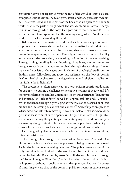grotesque body is not separated from the rest of the world. It is not a closed, completed unit; it's unfinished, outgrows itself, and transgresses its own limits. The stress is laid on those parts of the body that are open to the outside world, that is, the parts through which the world enters the body or emerges from it, or through which the body itself goes out to meet the world."[55](#page--1-0) This is the nature of interplay in that the naming-thing which "swallows the world . . . is itself swallowed by the world.["56](#page--1-0)

Bakhtin gives to the material world and its functions a type of sacred emphasis that destroys the sacred as an individualized and individualizable revelation or specialness. $57$  In this case, that status involves recognition of incompleteness, porousness. One might frame it as a type of lucidity geared toward the protecting, safeguarding, or fulfilling of the naming-thing. Through this grounding in naming-thing thingliness, circumstances are brought to earth and thereby are resolved through the workings of materiality and not left to the vague cosmic claims of theological traditions. As Bakhtin notes, folk culture and grotesque realism stem the flow of "cosmic fear" resolved through abstract theological claims and religious ritualization that isolate the individual.<sup>[58](#page--1-0)</sup>

The grotesque is often referenced as a way (within artistic production, for example) to outline a challenge to normative notions of beauty and life, thereby rendering the familiar unfamiliar. It centers a particular "disjuncture and shifting," or "lack of fixity," as well as "unpredictability and . . . instability" as awakened through a privileging of what was once despised or at least hidden and reassessing its context and content.<sup>59</sup> Abject/abjection speaks to a discomfort and effort to remove openness or in-between status, whereas the grotesque seeks to amplify this openness. The grotesque body is the quintessential open naming-thing entangled and entangling the world of things. It is a naming-thing content to be exposed and to be penetrated while it penetrates. It is associated with the stuff—the things—of life and death.

I am intrigued by that moment when the bodied naming-thing and thingthing fain affrication.

The naming-thing through this presentation of openness is "purged" of its illusion of stable distinctiveness, the pretense of being bounded and closed. Again, the bodied naming-thing defecates! The public presentation of this body function is not limited to the world described by Rabelais and celebrated by Bakhtin. For example, Yoko Ono alludes to this process through the "Toilet Thoughts Film No. 3," which includes a close-up shot of a buttocks poster to be hung in public toilets and then photographed over the course of time. Images were shot of the poster in public restrooms in various stages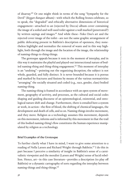Downloaded from http://read.dukeupress.edu/books/chapter-pdf/1118944/9781478091769-003.pdf by guest on 01 July 2022 Downloaded from http://read.dukeupress.edu/books/chapter-pdf/1118944/9781478091769-003.pdf by guest on 01 July 2022

of disarray[.60](#page--1-0) Or one might think in terms of the song "Sympathy for the Devil" (*Beggars Banquet* album)—with which the Rolling Stones celebrate, so to speak, the "degraded" and ethically alternative dimensions of historical engagement—attached to an (rejected by Decca) album cover containing the image of a soiled and well-used toilet against a wall marked (penetrated?) by written sayings and images.<sup>[61](#page--1-0)</sup> And while these—Yoko Ono's art and the rejected cover image of the toilet—are not the same graphic arrangement of public defecating present in Bakhtin's description of openness, they nonetheless highlight and normalize the removal of waste and in this way highlight, both through the image and the location of the image, the relationship of naming-things to thing-things.

The grotesque appeals because it rests in the moment of interplay, and in this way it maintains the playful and played-out intersectional nature of bodied naming-thing and thing-thing engagement.<sup>62</sup> This moment of interplay is an "undoing"—pointing out the organizing deception; the subject is not whole, guarded, and fully distinct. It is never bounded because it is porous and marked by fractures and fissions by means of the various normativities "arranging" the socially situated and coded (e.g., race, gender, class) bodied naming-thing.

The naming-thing is framed in accordance with an open system of movement, geography of activity, and processes, as the cultural and social codes shaping and guiding discourse of an epistemological, existential, and ontological nature shift and change. Furthermore, there is entailed here a system at work, in action—the flow of blood, the shifting of chemical languages, the development and death of cells, and so on. Naming-things involve movement, and they move. Religion as a technology assumes this movement, depends on this movement, informs and is informed by this movement in that the trail of this bodied naming-thing's flow constitutes the human experience manipulated by religion as a technology.

### Brief Examples of the Grotesque

To further clarify what I have in mind, I want to give some attention to a reading of Nella Larsen and Richard Wright through Bakhtin.<sup>63</sup> I do this in part because I perceive a similarity of insight in Bakhtin's sense of a carnivalistic viewpoint and the moralist (Larsen and Wright) sense of lucid rebellion. Hence, art—in this case literature—provides a description (to play off Bakhtin) or a dynamic cartography of sorts regarding the interplay between naming-things and thing-things[.64](#page--1-0)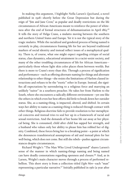In making this argument, I highlight Nella Larsen's *Quicksand*, a novel published in 1928—shortly before the Great Depression but during the reign of "Jim and Jane Crow," as popular and deadly restrictions on the life circumstances of African Americans meant to reinforce the power of white-ness after the end of formal structures of dehumanization in April 18[65](#page--1-0).<sup>65</sup> It tells the story of Helga Crane, a mulatto moving between the southern and northern United States and Europe. Yet it is not the typical story of the tragic mulatto. While the racialized and gendered process of being named is certainly in play, circumstances framing life for her are beyond traditional markers of social identity and instead reflect issues of a metaphysical quality. There is, of course, what one might expect regarding critique of social status, class dynamics, educational attainment in a racist-sexist society, and many of the other troubling circumstances of life for African Americans particularly those whose light skin color places them between worlds. But there is more to Crane's story than this. Through a process of signification and performance—such as offering alternate naming for things and alternate relationship to other things—she resists the limitations of Harlem classed interactions and refuses to be the "exotic" other in Europe. Instead, she signifies all expectations by surrendering to a religious force and marrying an unlikely "suitor" in a southern preacher. He takes her from Harlem to the South, where she encounters a radically different environment—yet one like the others in which even her best efforts did little to break down her outsider status. She, as a naming-thing, is impacted, altered, and shifted. In certain ways her ability to name as a naming-thing is reduced through contact with other things. Religious doctrine fails to provide resolution to her metaphysical concerns and instead tries to seal her up in a framework of racial and sexual restriction. And the demands of her home life eat away at her physical being. She is consumed; child after child has sapped her strength, and a husband who values only her ability to please him has robbed her of dignity. Combined, these forces bring her to a breaking point—a point at which she denounces transhistorical assumptions of aid and instead plots for her well-being, which does not come. But still she rebels—pushes against circumstances despite circumstances.

Richard Wright's "The Man Who Lived Underground" shares Larsen's sense of the manner in which naming-things naming and being named can have deadly connotations regarding openness and closure.<sup>66</sup> And, as in Larsen, Wright's main character moves through a process of performed rebellion. This short story is from a collection titled *Eight Men*—each "man" representing a particular narrative.<sup>67</sup> Initially published in 1961 (a year after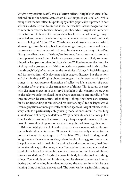Wright's mysterious death), this collection reflects Wright's rehearsal of racialized life in the United States from his self-imposed exile in Paris. While many of its themes reflect his philosophy of life graphically expressed in best sellers like *Black Boy* and *Native Son*, it has received little of the recognition and commentary reserved for those books published while Wright was immersed in the turmoil of life as a U.S.-despised and blackened named naming-thing impacted and named in relationship to economic, sociocultural, political, and psychological "things."[68](#page--1-0) Yet Wright also speaks to the manner in which all naming-things (not just blackened naming-things) are impacted by circumstances; things interact with things, often in unaccepted ways. Or as Paul Gilroy describes the text, "Wright," for instance, "demonstrates that some of the supposed beneficiaries of white supremacy are no less likely to be unhinged by its operation than its black victims."<sup>69</sup> Furthermore, the interplay of things—the grotesquery of this interaction—is performed in this collection through Wright's attention to the proximity of things.<sup>70</sup> Racial disregard and its mechanisms of deployment might suggest distance, but the actions and the thinking of Wright's characters suggest that interaction—impact of things—is an ever-present dimension of collective life, a marker of power dynamics often at play in the arrangement of things. This is surely the case with the main character in the story I highlight in this chapter, where even in the relative isolation faced, he is always exposed to and mindful of the ways in which he encounters other things—things that have consequence for his understanding of himself and his relationship(s) to the larger world. Even segregation, or more generally confined space, as Wright reflects in this story, entails a particularly antagonizing mode of encounter. In describing an underworld of decay and darkness, Wright crafts literary situations pulled from lived circumstance that involve the grotesque as performance of the impossible possibility of openness—as, if nothing else, a defiant signification. Bakhtin highlights the folk realm of carnival as a location where the gro-

tesque body takes center stage. Of course, it is not the only context for the presentation of the grotesque. In "The Man Who Lived Underground," Wright offers the sewer as another, urban, locale. Having gotten away from the police who tried to hold him for a crime he had not committed, Fred Daniels makes his way to the sewer, where "he snatched the cover far enough off to admit his body. He swung his legs over the opening and lowered himself into watery darkness."[71](#page--1-0) Inside the sewer his body is confronted with thingthings. The world is turned inside out, and its elements penetrate him, affecting and influencing him—demonstrating the manner in which he as a naming-thing is unfixed and exposed. The water washes against him, urging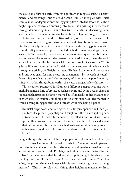the question of life or death. Water is significant in religious culture, performance, and teachings—but this is different. Daniel's interplay with water seems a mode of degradation whereby going down into the sewer, as Bakhtin might explain, involves an entering into flesh. It is a pushing into the world through denouncing its codes and structures. Bakhtin, in discussing Rabelais, remarks on the manner in which traditional religious thought on bodies tends to position them as down (toward hell) or up (toward heaven). He rejects this normalizing narrative, as does Fred Daniels, for whom down is life. He vertically enters into the sewer, but vertical entering points to a horizontal reality of material place occupied by bodied naming-things. Daniels leaves the "upperworld," where restrictive encounters question his humanity, and enters the lower world of penetrated material being; the underworld enters Fred as he fills "his lungs with the hot stench of yeasty rot."[72](#page--1-0) Life gains a different materiality for Daniels in the sewer; even time is knowable through materiality. As Wright narrates, "He heard the noise of the current and time lived again for him, measuring the moments by the wash of water."<sup>[73](#page--1-0)</sup> Everything revolved around the interplay of him as an exposed namingthing with other things found within the waste passages below the city.

This situation promoted for Daniels a different perspective, one which might be named a kind of grotesque realism: living and dying occupy the same space, and this space is a location marked by life in fleshy bodies that are open to the world. For instance, smoking points to this openness—the manner in which a thing-thing penetrates and infuses while also being expelled:

[Daniels] crept down and, seeing with his fingers, opened the lunch pail and tore off a piece of paper bag and brought out the tin and spilled grains of tobacco into the makeshift concave. He rolled it and wet it with some spittle, then inserted one end into his mouth and lit it: he sucked smoke that bit his lungs. The nicotine reached his brain, went out along his arms to his fingertips, down to his stomach and over all the tired nerves of his body[.74](#page--1-0)

Wright also spends time describing the proper use of the mouth. And he does so in a manner I argue would appeal to Bakhtin. The mouth marks penetration, the movement of food into the naming-thing—the extension of the grotesque body beyond itself. Daniels, continuing to devour the food he had stolen, "ate the other sandwich and found an apple and gobbled that up too, sucking the core till the last trace of flavor was drained from it. Then, like a dog, he ground the meat bones with his teeth, enjoying the salty, tangy marrow."<sup>75</sup> This is interplay with things that heightens materiality. In so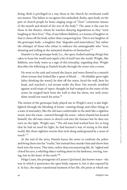Downloaded from http://read.dukeupress.edu/books/chapter-pdf/1118944/9781478091769-003.pdf by guest on 01 July 2022 Downloaded from http://read.dukeupress.edu/books/chapter-pdf/1118944/9781478091769-003.pdf by guest on 01 July 2022

doing, flesh is privileged in a way those in the church he overheard could not muster. The failure to recognize this embodied, fleshy, open body on the part of church people he hears singing songs of "Zion" constitutes misuse of the mouth and denial of the rest of the body.<sup>76</sup> The same is the case for those in the theater, whom he watches denying degradation as they "were laughing at their lives." This, if one follows Bakhtin, is a misuse of laughter in that it closes off the body rather than conquering fear. This is not laughter of the grotesque body—a laughter that "degrades and materializes," but rather the whimper of those who refuse to embrace the unimaginable who "were shouting and yelling at the animated shadows of themselves."[77](#page--1-0)

Daniels's is the grotesque body (i.e., the open, bodied naming-thing) that takes in from the world and expels a bit of itself into the world. Wright, like Bakhtin, sees body waste as a sign of this interplay; regarding that, Wright describes the following as Daniels breaks through the sewer into a room:

He went to the sink and turned the faucet and water flowed in a smooth silent stream that looked like a spout of blood. . . . His bladder grew tight [after drinking the water]; he shut off the water, faced the wall, bent his head, and watched a red stream strike the floor. His nostrils wrinkled against acrid wisps of vapor; thought he had tramped in the water of the sewer, he stepped back from the wall so that his shoes, wet with sewer slime would not touch his urine[.78](#page--1-0)

The notion of the grotesque body played out in Wright's story is also highlighted through the blending of forms—naming-things and other things in a state of mutuality: like the old man comfortable in the dark like a sightless worm. Into the room—entered through the sewer—where Daniels has located himself, the old man enters to shovel coal into the furnace but he does not turn on the light. Wright says, "The old man had worked here for so long that he had no need for light; he had learned a way of seeing in his dark world, like those sightless worms that inch along underground by a sense of touch."[79](#page--1-0)

At the end of the story, Daniels leaves the sewer to confront the police and bring them into his "truths," but instead they murder him and throw him back into the sewer. This time, rather than encountering life, he "sighed and closed his eyes, a whirling object rushing alone in the darkness, veering, tossing, lost in the heart of the earth.["80](#page--1-0)

Helga Crane, the protagonist of Larsen's *Quicksand*, also knows water—the way in which it penetrates the open body, exposes it, but is also exposed by it. In fact, the major transitional moment of her life, the point at which one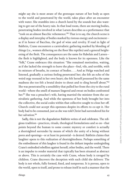might say she is most aware of the grotesque nature of her body as open to the world and penetrated by the world, takes place after an encounter with water. She stumbles into a church lured by the sounds but also wanting to get out of the heavy rain. In that loud room, there are moving bodies, penetrating bodies involved in what Larsen describes as a performance that "took on an almost Bacchic vehemence.["81](#page--1-0) That is to say, the church scene is a display and interplay of bodies marked by riotous energy and excitement as if in honor of Bacchus, the god of wine and revelry. If read in light of Bakhtin, Crane encounters a carnivalistic gathering marked by blending of things (i.e., women slithering on the floor like reptiles) and a general heightening of the flesh. The consequences are the same for Rabelais and Larsen the flesh is highlighted, and the body is known for its openness. Like the "folk," Crane embraces this situation: "She remained motionless, waiting, as if she lacked the strength to leave the place—foul, vile, and terrible, with its mixture of breaths, its contact of bodies. . . . And as Helga watched and listened, gradually a curious feeling penetrated her; she felt an echo of the weird orgy resound in her own heart; she felt herself possessed by the same madness she too felt a brutal desire to shout and to sling herself about."[82](#page--1-0) She was penetrated by a sensibility that pulled her from the city to the rural world—where the smell of manure lingered and sweat on bodies confronted her.<sup>83</sup> She was a preacher's wife, having married the minister from the carnivalistic gathering. And while the openness of her body brought her into the collective, the social codes within that collective sought to close her off. Church could not accept this openness despite its efforts to co-opt it. Her body had to be consumed, just as she was told Christ had surrendered his for her salvation.<sup>84</sup>

Sadly, this is not the degradation Bakhtin writes of and celebrates. The religious tradition—practices, rituals, theological formulations and so on—that points beyond the human to some cosmic mystery or comfort is actually a shortsighted surrender by means of which the unity of a being without pores and openings—or at least its potential—is desired. Bakhtin claims that laughter opens to this realization of shortsightedness. Perhaps something of the embodiment of this laugher is found in the defiant impulse undergirding Crane's embodied rebellion against herself, other bodies, and the world. There is an impulse to render material that typically has been situated as abstract or above. This is certainly the case with Crane, whose body is ravaged by children. Crane discovers the deception with each child she delivers: The body is not whole, fully formed, fixed, and nonporous. It is porous, open to the world, open to itself, and prone to release itself in such a manner that the